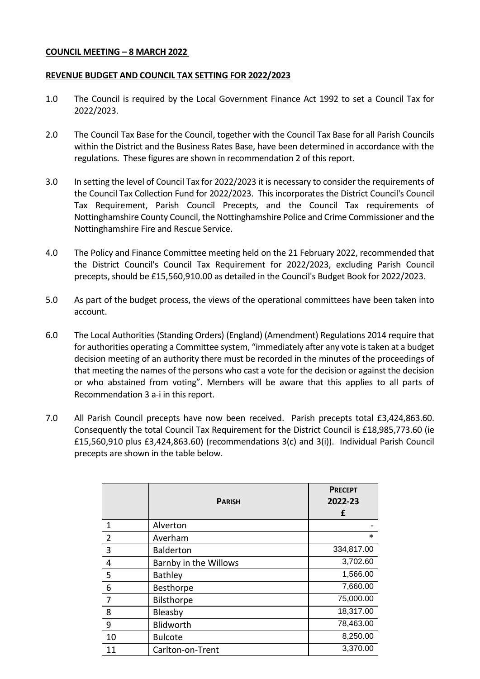### **COUNCIL MEETING – 8 MARCH 2022**

### **REVENUE BUDGET AND COUNCIL TAX SETTING FOR 2022/2023**

- 1.0 The Council is required by the Local Government Finance Act 1992 to set a Council Tax for 2022/2023.
- 2.0 The Council Tax Base for the Council, together with the Council Tax Base for all Parish Councils within the District and the Business Rates Base, have been determined in accordance with the regulations. These figures are shown in recommendation 2 of this report.
- 3.0 In setting the level of Council Tax for 2022/2023 it is necessary to consider the requirements of the Council Tax Collection Fund for 2022/2023. This incorporates the District Council's Council Tax Requirement, Parish Council Precepts, and the Council Tax requirements of Nottinghamshire County Council, the Nottinghamshire Police and Crime Commissioner and the Nottinghamshire Fire and Rescue Service.
- 4.0 The Policy and Finance Committee meeting held on the 21 February 2022, recommended that the District Council's Council Tax Requirement for 2022/2023, excluding Parish Council precepts, should be £15,560,910.00 as detailed in the Council's Budget Book for 2022/2023.
- 5.0 As part of the budget process, the views of the operational committees have been taken into account.
- 6.0 The Local Authorities (Standing Orders) (England) (Amendment) Regulations 2014 require that for authorities operating a Committee system, "immediately after any vote is taken at a budget decision meeting of an authority there must be recorded in the minutes of the proceedings of that meeting the names of the persons who cast a vote for the decision or against the decision or who abstained from voting". Members will be aware that this applies to all parts of Recommendation 3 a-i in this report.
- 7.0 All Parish Council precepts have now been received. Parish precepts total £3,424,863.60. Consequently the total Council Tax Requirement for the District Council is £18,985,773.60 (ie £15,560,910 plus £3,424,863.60) (recommendations 3(c) and 3(i)). Individual Parish Council precepts are shown in the table below.

|                | <b>PARISH</b>         | <b>PRECEPT</b><br>2022-23<br>£ |
|----------------|-----------------------|--------------------------------|
| 1              | Alverton              |                                |
| $\overline{2}$ | Averham               | *                              |
| 3              | <b>Balderton</b>      | 334,817.00                     |
| 4              | Barnby in the Willows | 3,702.60                       |
| 5              | <b>Bathley</b>        | 1,566.00                       |
| 6              | Besthorpe             | 7,660.00                       |
| 7              | Bilsthorpe            | 75,000.00                      |
| 8              | Bleasby               | 18,317.00                      |
| 9              | Blidworth             | 78,463.00                      |
| 10             | <b>Bulcote</b>        | 8,250.00                       |
| 11             | Carlton-on-Trent      | 3,370.00                       |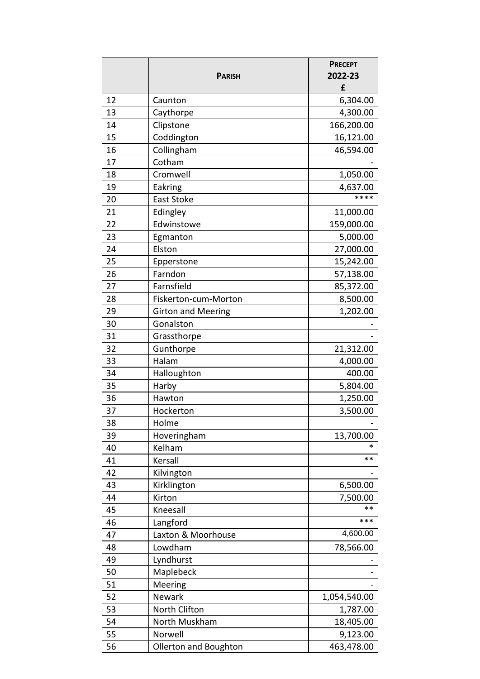|    | <b>PARISH</b>             | <b>PRECEPT</b><br>2022-23 |
|----|---------------------------|---------------------------|
|    |                           | £                         |
| 12 | Caunton                   | 6,304.00                  |
| 13 | Caythorpe                 | 4,300.00                  |
| 14 | Clipstone                 | 166,200.00                |
| 15 | Coddington                | 16,121.00                 |
| 16 | Collingham                | 46,594.00                 |
| 17 | Cotham                    |                           |
| 18 | Cromwell                  | 1,050.00                  |
| 19 | Eakring                   | 4,637.00                  |
| 20 | East Stoke                | ****                      |
| 21 | Edingley                  | 11,000.00                 |
| 22 | Edwinstowe                | 159,000.00                |
| 23 | Egmanton                  | 5,000.00                  |
| 24 | Elston                    | 27,000.00                 |
| 25 | Epperstone                | 15,242.00                 |
| 26 | Farndon                   | 57,138.00                 |
| 27 | Farnsfield                | 85,372.00                 |
| 28 | Fiskerton-cum-Morton      | 8,500.00                  |
| 29 | <b>Girton and Meering</b> | 1,202.00                  |
| 30 | Gonalston                 |                           |
| 31 | Grassthorpe               |                           |
| 32 | Gunthorpe                 | 21,312.00                 |
| 33 | Halam                     | 4,000.00                  |
| 34 | Halloughton               | 400.00                    |
| 35 | Harby                     | 5,804.00                  |
| 36 | Hawton                    | 1,250.00                  |
| 37 | Hockerton                 | 3,500.00                  |
| 38 | Holme                     |                           |
| 39 | Hoveringham               | 13,700.00                 |
| 40 | Kelham                    | *                         |
| 41 | Kersall                   | $***$                     |
| 42 | Kilvington                |                           |
| 43 | Kirklington               | 6,500.00                  |
| 44 | Kirton                    | 7,500.00                  |
| 45 | Kneesall                  | $**$                      |
| 46 | Langford                  | ***                       |
| 47 | Laxton & Moorhouse        | 4,600.00                  |
| 48 | Lowdham                   | 78,566.00                 |
| 49 | Lyndhurst                 |                           |
| 50 | Maplebeck                 |                           |
| 51 | Meering                   |                           |
| 52 | <b>Newark</b>             | 1,054,540.00              |
| 53 | North Clifton             | 1,787.00                  |
| 54 | North Muskham             | 18,405.00                 |
| 55 | Norwell                   | 9,123.00                  |
| 56 | Ollerton and Boughton     | 463,478.00                |
|    |                           |                           |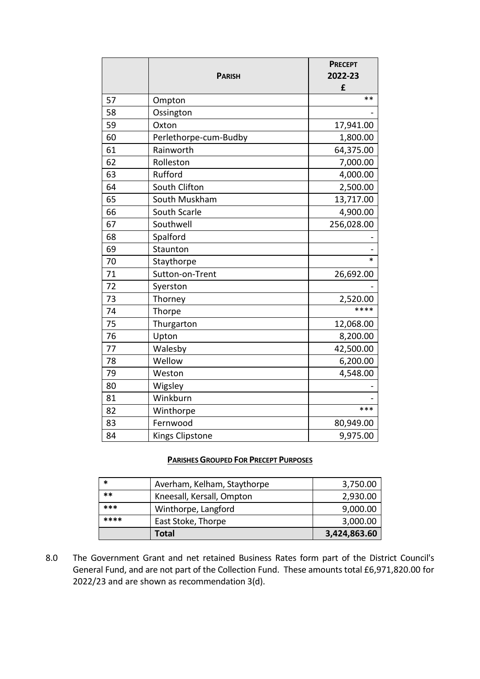|    |                        | <b>PRECEPT</b> |
|----|------------------------|----------------|
|    | <b>PARISH</b>          | 2022-23        |
|    |                        | £              |
| 57 | Ompton                 | **             |
| 58 | Ossington              |                |
| 59 | Oxton                  | 17,941.00      |
| 60 | Perlethorpe-cum-Budby  | 1,800.00       |
| 61 | Rainworth              | 64,375.00      |
| 62 | Rolleston              | 7,000.00       |
| 63 | Rufford                | 4,000.00       |
| 64 | South Clifton          | 2,500.00       |
| 65 | South Muskham          | 13,717.00      |
| 66 | South Scarle           | 4,900.00       |
| 67 | Southwell              | 256,028.00     |
| 68 | Spalford               |                |
| 69 | Staunton               |                |
| 70 | Staythorpe             | $\ast$         |
| 71 | Sutton-on-Trent        | 26,692.00      |
| 72 | Syerston               |                |
| 73 | Thorney                | 2,520.00       |
| 74 | Thorpe                 | ****           |
| 75 | Thurgarton             | 12,068.00      |
| 76 | Upton                  | 8,200.00       |
| 77 | Walesby                | 42,500.00      |
| 78 | Wellow                 | 6,200.00       |
| 79 | Weston                 | 4,548.00       |
| 80 | Wigsley                |                |
| 81 | Winkburn               |                |
| 82 | Winthorpe              | ***            |
| 83 | Fernwood               | 80,949.00      |
| 84 | <b>Kings Clipstone</b> | 9,975.00       |

## **PARISHES GROUPED FOR PRECEPT PURPOSES**

| *     | Averham, Kelham, Staythorpe | 3,750.00     |
|-------|-----------------------------|--------------|
| $***$ | Kneesall, Kersall, Ompton   | 2,930.00     |
| ***   | Winthorpe, Langford         | 9,000.00     |
| ****  | East Stoke, Thorpe          | 3,000.00     |
|       | Total                       | 3,424,863.60 |

8.0 The Government Grant and net retained Business Rates form part of the District Council's General Fund, and are not part of the Collection Fund. These amounts total £6,971,820.00 for 2022/23 and are shown as recommendation 3(d).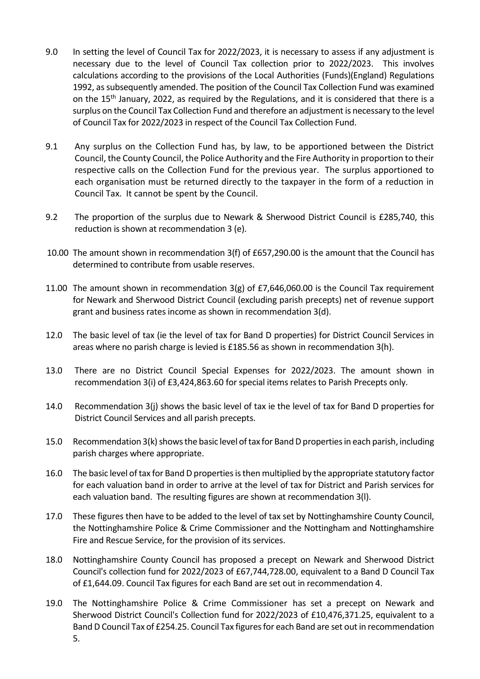- 9.0 In setting the level of Council Tax for 2022/2023, it is necessary to assess if any adjustment is necessary due to the level of Council Tax collection prior to 2022/2023. This involves calculations according to the provisions of the Local Authorities (Funds)(England) Regulations 1992, as subsequently amended. The position of the Council Tax Collection Fund was examined on the 15<sup>th</sup> January, 2022, as required by the Regulations, and it is considered that there is a surplus on the Council Tax Collection Fund and therefore an adjustment is necessary to the level of Council Tax for 2022/2023 in respect of the Council Tax Collection Fund.
- 9.1 Any surplus on the Collection Fund has, by law, to be apportioned between the District Council, the County Council, the Police Authority and the Fire Authority in proportion to their respective calls on the Collection Fund for the previous year. The surplus apportioned to each organisation must be returned directly to the taxpayer in the form of a reduction in Council Tax. It cannot be spent by the Council.
- 9.2 The proportion of the surplus due to Newark & Sherwood District Council is £285,740, this reduction is shown at recommendation 3 (e).
- 10.00 The amount shown in recommendation 3(f) of £657,290.00 is the amount that the Council has determined to contribute from usable reserves.
- 11.00 The amount shown in recommendation 3(g) of £7,646,060.00 is the Council Tax requirement for Newark and Sherwood District Council (excluding parish precepts) net of revenue support grant and business rates income as shown in recommendation 3(d).
- 12.0 The basic level of tax (ie the level of tax for Band D properties) for District Council Services in areas where no parish charge is levied is £185.56 as shown in recommendation 3(h).
- 13.0 There are no District Council Special Expenses for 2022/2023. The amount shown in recommendation 3(i) of £3,424,863.60 for special items relates to Parish Precepts only.
- 14.0 Recommendation 3(j) shows the basic level of tax ie the level of tax for Band D properties for District Council Services and all parish precepts.
- 15.0 Recommendation 3(k) shows the basic level of tax for Band D properties in each parish, including parish charges where appropriate.
- 16.0 The basic level of tax for Band D properties is then multiplied by the appropriate statutory factor for each valuation band in order to arrive at the level of tax for District and Parish services for each valuation band. The resulting figures are shown at recommendation 3(l).
- 17.0 These figures then have to be added to the level of tax set by Nottinghamshire County Council, the Nottinghamshire Police & Crime Commissioner and the Nottingham and Nottinghamshire Fire and Rescue Service, for the provision of its services.
- 18.0 Nottinghamshire County Council has proposed a precept on Newark and Sherwood District Council's collection fund for 2022/2023 of £67,744,728.00, equivalent to a Band D Council Tax of £1,644.09. Council Tax figures for each Band are set out in recommendation 4.
- 19.0 The Nottinghamshire Police & Crime Commissioner has set a precept on Newark and Sherwood District Council's Collection fund for 2022/2023 of £10,476,371.25, equivalent to a Band D Council Tax of £254.25. Council Tax figures for each Band are set out in recommendation 5.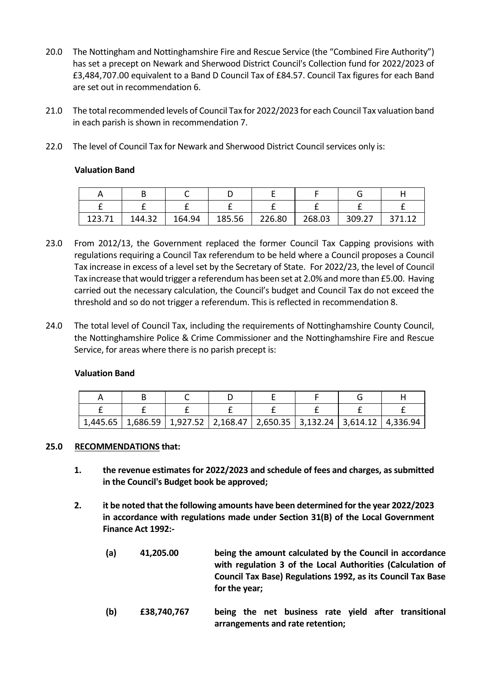- 20.0 The Nottingham and Nottinghamshire Fire and Rescue Service (the "Combined Fire Authority") has set a precept on Newark and Sherwood District Council's Collection fund for 2022/2023 of £3,484,707.00 equivalent to a Band D Council Tax of £84.57. Council Tax figures for each Band are set out in recommendation 6.
- 21.0 The total recommended levels of Council Tax for 2022/2023 for each Council Tax valuation band in each parish is shown in recommendation 7.
- 22.0 The level of Council Tax for Newark and Sherwood District Council services only is:

## **Valuation Band**

| 123.71 | 144.32 | 164.94 | 185.56 | 226.80 | 268.03 | 309.27 |  |
|--------|--------|--------|--------|--------|--------|--------|--|

- 23.0 From 2012/13, the Government replaced the former Council Tax Capping provisions with regulations requiring a Council Tax referendum to be held where a Council proposes a Council Tax increase in excess of a level set by the Secretary of State. For 2022/23, the level of Council Tax increase that would trigger a referendum has been set at 2.0% and more than £5.00. Having carried out the necessary calculation, the Council's budget and Council Tax do not exceed the threshold and so do not trigger a referendum. This is reflected in recommendation 8.
- 24.0 The total level of Council Tax, including the requirements of Nottinghamshire County Council, the Nottinghamshire Police & Crime Commissioner and the Nottinghamshire Fire and Rescue Service, for areas where there is no parish precept is:

## **Valuation Band**

| $1,445.65$   1,686.59   1,927.52   2,168.47   2,650.35   3,132.24   3,614.12   4,336.94 |  |  |  |
|-----------------------------------------------------------------------------------------|--|--|--|

## **25.0 RECOMMENDATIONS that:**

- **1. the revenue estimates for 2022/2023 and schedule of fees and charges, as submitted in the Council's Budget book be approved;**
- **2. it be noted that the following amounts have been determined for the year 2022/2023 in accordance with regulations made under Section 31(B) of the Local Government Finance Act 1992:-**
	- **(a) 41,205.00 being the amount calculated by the Council in accordance with regulation 3 of the Local Authorities (Calculation of Council Tax Base) Regulations 1992, as its Council Tax Base for the year;**
	- **(b) £38,740,767 being the net business rate yield after transitional arrangements and rate retention;**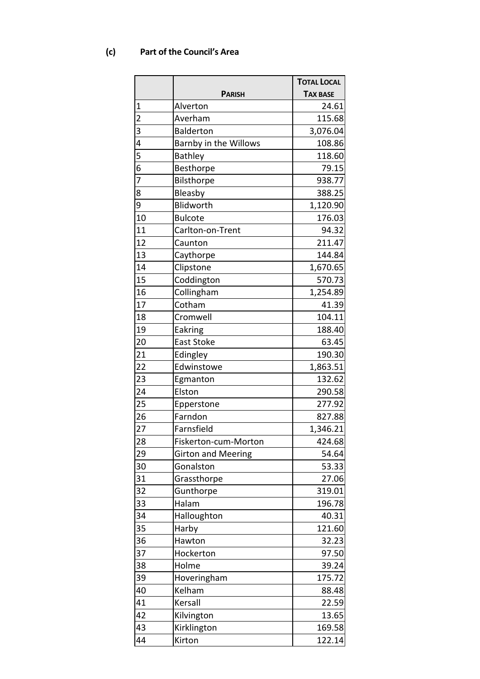# **(c) Part of the Council's Area**

|                |                           | <b>TOTAL LOCAL</b> |
|----------------|---------------------------|--------------------|
|                | <b>PARISH</b>             | <b>TAX BASE</b>    |
| 1              | Alverton                  | 24.61              |
| $\overline{c}$ | Averham                   | 115.68             |
| 3              | <b>Balderton</b>          | 3,076.04           |
| 4              | Barnby in the Willows     | 108.86             |
| 5              | <b>Bathley</b>            | 118.60             |
| 6              | Besthorpe                 | 79.15              |
| 7              | Bilsthorpe                | 938.77             |
| 8              | Bleasby                   | 388.25             |
| 9              | Blidworth                 | 1,120.90           |
| 10             | <b>Bulcote</b>            | 176.03             |
| 11             | Carlton-on-Trent          | 94.32              |
| 12             | Caunton                   | 211.47             |
| 13             | Caythorpe                 | 144.84             |
| 14             | Clipstone                 | 1,670.65           |
| 15             | Coddington                | 570.73             |
| 16             | Collingham                | 1,254.89           |
| 17             | Cotham                    | 41.39              |
| 18             | Cromwell                  | 104.11             |
| 19             | Eakring                   | 188.40             |
| 20             | East Stoke                | 63.45              |
| 21             | Edingley                  | 190.30             |
| 22             | Edwinstowe                | 1,863.51           |
| 23             | Egmanton                  | 132.62             |
| 24             | Elston                    | 290.58             |
| 25             | Epperstone                | 277.92             |
| 26             | Farndon                   | 827.88             |
| 27             | Farnsfield                | 1,346.21           |
| 28             | Fiskerton-cum-Morton      | 424.68             |
| 29             | <b>Girton and Meering</b> | 54.64              |
| 30             | Gonalston                 | 53.33              |
| 31             | Grassthorpe               | 27.06              |
| 32             | Gunthorpe                 | 319.01             |
| 33             | Halam                     | 196.78             |
| 34             | Halloughton               | 40.31              |
| 35             | Harby                     | 121.60             |
| 36             | Hawton                    | 32.23              |
| 37             | Hockerton                 | 97.50              |
| 38             | Holme                     |                    |
| 39             |                           | 39.24              |
|                | Hoveringham               | 175.72             |
| 40             | Kelham                    | 88.48              |
| 41             | Kersall                   | 22.59              |
| 42             | Kilvington                | 13.65              |
| 43             | Kirklington               | 169.58             |
| 44             | Kirton                    | 122.14             |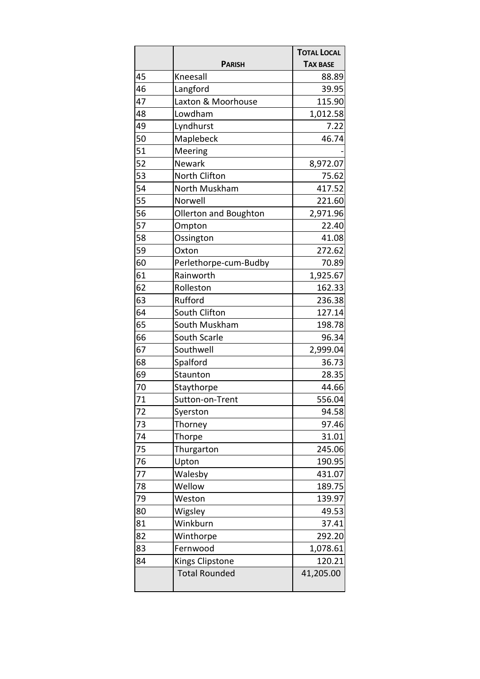|    |                       | <b>TOTAL LOCAL</b> |
|----|-----------------------|--------------------|
|    | <b>PARISH</b>         | <b>TAX BASE</b>    |
| 45 | Kneesall              | 88.89              |
| 46 | Langford              | 39.95              |
| 47 | Laxton & Moorhouse    | 115.90             |
| 48 | Lowdham               | 1,012.58           |
| 49 | Lyndhurst             | 7.22               |
| 50 | Maplebeck             | 46.74              |
| 51 | Meering               |                    |
| 52 | Newark                | 8,972.07           |
| 53 | North Clifton         | 75.62              |
| 54 | North Muskham         | 417.52             |
| 55 | Norwell               | 221.60             |
| 56 | Ollerton and Boughton | 2,971.96           |
| 57 | Ompton                | 22.40              |
| 58 | Ossington             | 41.08              |
| 59 | Oxton                 | 272.62             |
| 60 | Perlethorpe-cum-Budby | 70.89              |
| 61 | Rainworth             | 1,925.67           |
| 62 | Rolleston             | 162.33             |
| 63 | Rufford               | 236.38             |
| 64 | South Clifton         | 127.14             |
| 65 | South Muskham         | 198.78             |
| 66 | South Scarle          | 96.34              |
| 67 | Southwell             | 2,999.04           |
| 68 | Spalford              | 36.73              |
| 69 | Staunton              | 28.35              |
| 70 | Staythorpe            | 44.66              |
| 71 | Sutton-on-Trent       | 556.04             |
| 72 | Syerston              | 94.58              |
| 73 | Thorney               | 97.46              |
| 74 | Thorpe                | 31.01              |
| 75 | Thurgarton            | 245.06             |
| 76 | Upton                 | 190.95             |
| 77 | Walesby               | 431.07             |
| 78 | Wellow                | 189.75             |
| 79 | Weston                | 139.97             |
| 80 | Wigsley               | 49.53              |
| 81 | Winkburn              | 37.41              |
| 82 | Winthorpe             | 292.20             |
| 83 | Fernwood              | 1,078.61           |
| 84 | Kings Clipstone       | 120.21             |
|    | <b>Total Rounded</b>  | 41,205.00          |
|    |                       |                    |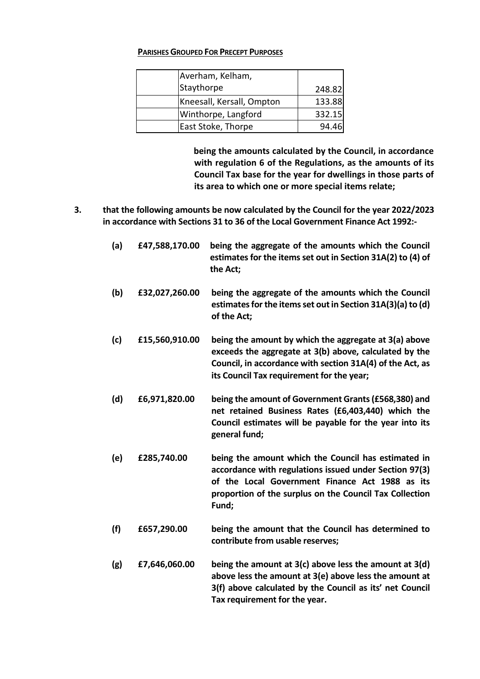### **PARISHES GROUPED FOR PRECEPT PURPOSES**

| Averham, Kelham,          |        |
|---------------------------|--------|
| Staythorpe                | 248.82 |
| Kneesall, Kersall, Ompton | 133.88 |
| Winthorpe, Langford       | 332.15 |
| East Stoke, Thorpe        | 94.46  |

**being the amounts calculated by the Council, in accordance with regulation 6 of the Regulations, as the amounts of its Council Tax base for the year for dwellings in those parts of its area to which one or more special items relate;**

- **3. that the following amounts be now calculated by the Council for the year 2022/2023 in accordance with Sections 31 to 36 of the Local Government Finance Act 1992:-**
	- **(a) £47,588,170.00 being the aggregate of the amounts which the Council estimates for the items set out in Section 31A(2) to (4) of the Act; (b) £32,027,260.00 being the aggregate of the amounts which the Council estimates for the items set out in Section 31A(3)(a) to (d) of the Act; (c) £15,560,910.00 being the amount by which the aggregate at 3(a) above exceeds the aggregate at 3(b) above, calculated by the Council, in accordance with section 31A(4) of the Act, as its Council Tax requirement for the year; (d) £6,971,820.00 being the amount of Government Grants(£568,380) and net retained Business Rates (£6,403,440) which the Council estimates will be payable for the year into its general fund; (e) £285,740.00 being the amount which the Council has estimated in accordance with regulations issued under Section 97(3) of the Local Government Finance Act 1988 as its**
	- **proportion of the surplus on the Council Tax Collection Fund;**
	- **(f) £657,290.00 being the amount that the Council has determined to contribute from usable reserves;**
	- **(g) £7,646,060.00 being the amount at 3(c) above less the amount at 3(d) above less the amount at 3(e) above less the amount at 3(f) above calculated by the Council as its' net Council Tax requirement for the year.**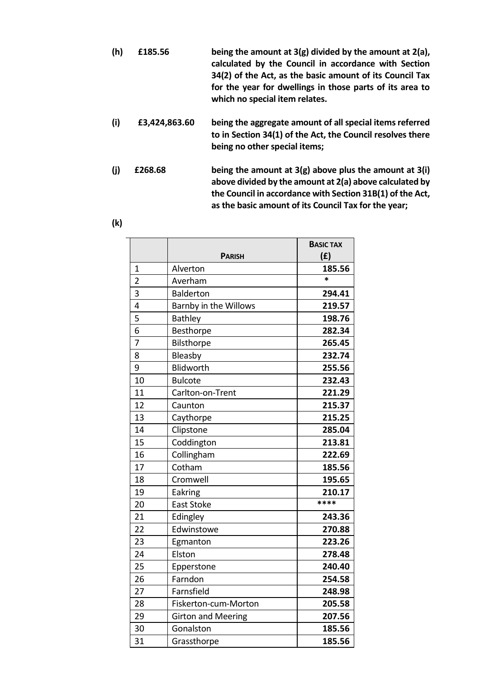- **(h) £185.56 being the amount at 3(g) divided by the amount at 2(a), calculated by the Council in accordance with Section 34(2) of the Act, as the basic amount of its Council Tax for the year for dwellings in those parts of its area to which no special item relates.**
- **(i) £3,424,863.60 being the aggregate amount of all special items referred to in Section 34(1) of the Act, the Council resolves there being no other special items;**
- **(j) £268.68 being the amount at 3(g) above plus the amount at 3(i) above divided by the amount at 2(a) above calculated by the Council in accordance with Section 31B(1) of the Act, as the basic amount of its Council Tax for the year;**
- **(k)**

|                |                           | <b>BASIC TAX</b> |
|----------------|---------------------------|------------------|
|                | <b>PARISH</b>             | (f)              |
| 1              | Alverton                  | 185.56           |
| $\overline{2}$ | Averham                   | $\ast$           |
| 3              | <b>Balderton</b>          | 294.41           |
| 4              | Barnby in the Willows     | 219.57           |
| 5              | <b>Bathley</b>            | 198.76           |
| 6              | Besthorpe                 | 282.34           |
| $\overline{7}$ | Bilsthorpe                | 265.45           |
| 8              | Bleasby                   | 232.74           |
| 9              | Blidworth                 | 255.56           |
| 10             | <b>Bulcote</b>            | 232.43           |
| 11             | Carlton-on-Trent          | 221.29           |
| 12             | Caunton                   | 215.37           |
| 13             | Caythorpe                 | 215.25           |
| 14             | Clipstone                 | 285.04           |
| 15             | Coddington                | 213.81           |
| 16             | Collingham                | 222.69           |
| 17             | Cotham                    | 185.56           |
| 18             | Cromwell                  | 195.65           |
| 19             | Eakring                   | 210.17           |
| 20             | <b>East Stoke</b>         | ****             |
| 21             | Edingley                  | 243.36           |
| 22             | Edwinstowe                | 270.88           |
| 23             | Egmanton                  | 223.26           |
| 24             | Elston                    | 278.48           |
| 25             | Epperstone                | 240.40           |
| 26             | Farndon                   | 254.58           |
| 27             | Farnsfield                | 248.98           |
| 28             | Fiskerton-cum-Morton      | 205.58           |
| 29             | <b>Girton and Meering</b> | 207.56           |
| 30             | Gonalston                 | 185.56           |
| 31             | Grassthorpe               | 185.56           |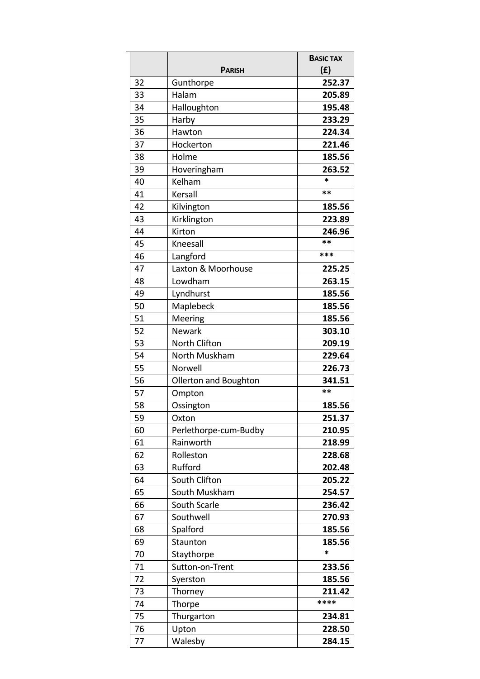|    | <b>PARISH</b>         | <b>BASIC TAX</b><br>(f) |
|----|-----------------------|-------------------------|
| 32 | Gunthorpe             | 252.37                  |
| 33 | Halam                 | 205.89                  |
| 34 | Halloughton           | 195.48                  |
| 35 | Harby                 | 233.29                  |
| 36 | Hawton                | 224.34                  |
| 37 | Hockerton             | 221.46                  |
| 38 | Holme                 | 185.56                  |
| 39 | Hoveringham           | 263.52                  |
| 40 | Kelham                | *                       |
| 41 | Kersall               | **                      |
| 42 | Kilvington            | 185.56                  |
| 43 | Kirklington           | 223.89                  |
| 44 | Kirton                | 246.96                  |
| 45 | Kneesall              | **                      |
| 46 | Langford              | ***                     |
| 47 | Laxton & Moorhouse    | 225.25                  |
| 48 | Lowdham               | 263.15                  |
| 49 | Lyndhurst             | 185.56                  |
| 50 | Maplebeck             | 185.56                  |
| 51 | Meering               | 185.56                  |
| 52 | Newark                | 303.10                  |
| 53 | North Clifton         | 209.19                  |
| 54 | North Muskham         | 229.64                  |
| 55 | Norwell               | 226.73                  |
| 56 | Ollerton and Boughton | 341.51                  |
| 57 | Ompton                | **                      |
| 58 | Ossington             | 185.56                  |
| 59 | Oxton                 | 251.37                  |
| 60 | Perlethorpe-cum-Budby | 210.95                  |
| 61 | Rainworth             | 218.99                  |
| 62 | Rolleston             | 228.68                  |
| 63 | Rufford               | 202.48                  |
| 64 | South Clifton         | 205.22                  |
| 65 | South Muskham         | 254.57                  |
| 66 | South Scarle          | 236.42                  |
| 67 | Southwell             | 270.93                  |
| 68 | Spalford              | 185.56                  |
| 69 | Staunton              | 185.56                  |
| 70 | Staythorpe            | *                       |
| 71 | Sutton-on-Trent       | 233.56                  |
| 72 | Syerston              | 185.56                  |
| 73 | Thorney               | 211.42                  |
| 74 | Thorpe                | ****                    |
| 75 | Thurgarton            | 234.81                  |
| 76 | Upton                 | 228.50                  |
| 77 | Walesby               | 284.15                  |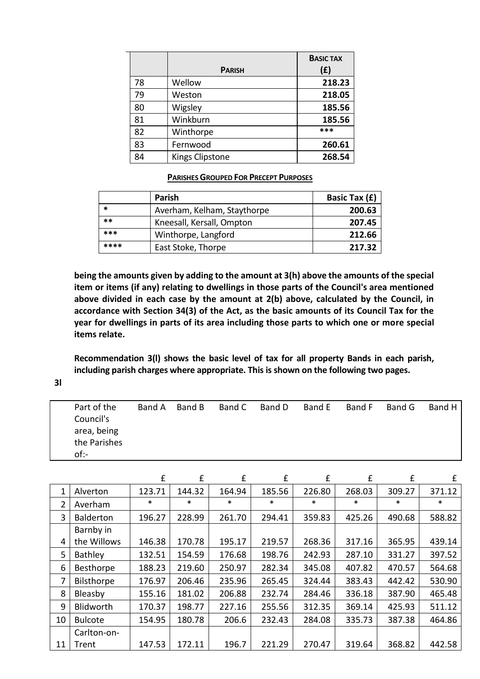|    |                        | <b>BASIC TAX</b> |
|----|------------------------|------------------|
|    | <b>PARISH</b>          | (E)              |
| 78 | Wellow                 | 218.23           |
| 79 | Weston                 | 218.05           |
| 80 | Wigsley                | 185.56           |
| 81 | Winkburn               | 185.56           |
| 82 | Winthorpe              | ***              |
| 83 | Fernwood               | 260.61           |
| 84 | <b>Kings Clipstone</b> | 268.54           |

#### **PARISHES GROUPED FOR PRECEPT PURPOSES**

|      | <b>Parish</b>               | Basic Tax (£) |
|------|-----------------------------|---------------|
| *    | Averham, Kelham, Staythorpe | 200.63        |
| **   | Kneesall, Kersall, Ompton   | 207.45        |
| ***  | Winthorpe, Langford         | 212.66        |
| **** | East Stoke, Thorpe          | 217.32        |

**being the amounts given by adding to the amount at 3(h) above the amounts of the special item or items (if any) relating to dwellings in those parts of the Council's area mentioned above divided in each case by the amount at 2(b) above, calculated by the Council, in accordance with Section 34(3) of the Act, as the basic amounts of its Council Tax for the year for dwellings in parts of its area including those parts to which one or more special items relate.**

**Recommendation 3(l) shows the basic level of tax for all property Bands in each parish, including parish charges where appropriate. This is shown on the following two pages.**

**3l**

| Part of the  | Band A | Band B | Band C | Band D | Band E | Band F | Band G | Band H |
|--------------|--------|--------|--------|--------|--------|--------|--------|--------|
| Council's    |        |        |        |        |        |        |        |        |
| area, being  |        |        |        |        |        |        |        |        |
| the Parishes |        |        |        |        |        |        |        |        |
| of:-         |        |        |        |        |        |        |        |        |

|    |                  | £      | £      | f      | f      | £      | £      | £      | £      |
|----|------------------|--------|--------|--------|--------|--------|--------|--------|--------|
| 1  | Alverton         | 123.71 | 144.32 | 164.94 | 185.56 | 226.80 | 268.03 | 309.27 | 371.12 |
| 2  | Averham          | *      | $\ast$ | $\ast$ | $\ast$ | $\ast$ | $\ast$ | $\ast$ | $\ast$ |
| 3  | <b>Balderton</b> | 196.27 | 228.99 | 261.70 | 294.41 | 359.83 | 425.26 | 490.68 | 588.82 |
|    | Barnby in        |        |        |        |        |        |        |        |        |
| 4  | the Willows      | 146.38 | 170.78 | 195.17 | 219.57 | 268.36 | 317.16 | 365.95 | 439.14 |
| 5  | Bathley          | 132.51 | 154.59 | 176.68 | 198.76 | 242.93 | 287.10 | 331.27 | 397.52 |
| 6  | Besthorpe        | 188.23 | 219.60 | 250.97 | 282.34 | 345.08 | 407.82 | 470.57 | 564.68 |
| 7  | Bilsthorpe       | 176.97 | 206.46 | 235.96 | 265.45 | 324.44 | 383.43 | 442.42 | 530.90 |
| 8  | Bleasby          | 155.16 | 181.02 | 206.88 | 232.74 | 284.46 | 336.18 | 387.90 | 465.48 |
| 9  | <b>Blidworth</b> | 170.37 | 198.77 | 227.16 | 255.56 | 312.35 | 369.14 | 425.93 | 511.12 |
| 10 | <b>Bulcote</b>   | 154.95 | 180.78 | 206.6  | 232.43 | 284.08 | 335.73 | 387.38 | 464.86 |
|    | Carlton-on-      |        |        |        |        |        |        |        |        |
| 11 | Trent            | 147.53 | 172.11 | 196.7  | 221.29 | 270.47 | 319.64 | 368.82 | 442.58 |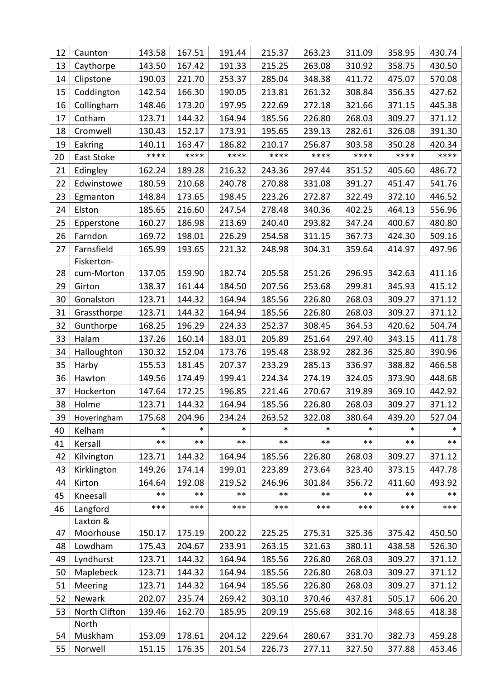| 12 | Caunton       | 143.58 | 167.51 | 191.44 | 215.37 | 263.23 | 311.09 | 358.95 | 430.74 |
|----|---------------|--------|--------|--------|--------|--------|--------|--------|--------|
| 13 | Caythorpe     | 143.50 | 167.42 | 191.33 | 215.25 | 263.08 | 310.92 | 358.75 | 430.50 |
| 14 | Clipstone     | 190.03 | 221.70 | 253.37 | 285.04 | 348.38 | 411.72 | 475.07 | 570.08 |
| 15 | Coddington    | 142.54 | 166.30 | 190.05 | 213.81 | 261.32 | 308.84 | 356.35 | 427.62 |
| 16 | Collingham    | 148.46 | 173.20 | 197.95 | 222.69 | 272.18 | 321.66 | 371.15 | 445.38 |
| 17 | Cotham        | 123.71 | 144.32 | 164.94 | 185.56 | 226.80 | 268.03 | 309.27 | 371.12 |
| 18 | Cromwell      | 130.43 | 152.17 | 173.91 | 195.65 | 239.13 | 282.61 | 326.08 | 391.30 |
| 19 | Eakring       | 140.11 | 163.47 | 186.82 | 210.17 | 256.87 | 303.58 | 350.28 | 420.34 |
| 20 | East Stoke    | ****   | ****   | ****   | ****   | ****   | ****   | ****   | ****   |
| 21 | Edingley      | 162.24 | 189.28 | 216.32 | 243.36 | 297.44 | 351.52 | 405.60 | 486.72 |
| 22 | Edwinstowe    | 180.59 | 210.68 | 240.78 | 270.88 | 331.08 | 391.27 | 451.47 | 541.76 |
| 23 | Egmanton      | 148.84 | 173.65 | 198.45 | 223.26 | 272.87 | 322.49 | 372.10 | 446.52 |
| 24 | Elston        | 185.65 | 216.60 | 247.54 | 278.48 | 340.36 | 402.25 | 464.13 | 556.96 |
| 25 | Epperstone    | 160.27 | 186.98 | 213.69 | 240.40 | 293.82 | 347.24 | 400.67 | 480.80 |
| 26 | Farndon       | 169.72 | 198.01 | 226.29 | 254.58 | 311.15 | 367.73 | 424.30 | 509.16 |
| 27 | Farnsfield    | 165.99 | 193.65 | 221.32 | 248.98 | 304.31 | 359.64 | 414.97 | 497.96 |
|    | Fiskerton-    |        |        |        |        |        |        |        |        |
| 28 | cum-Morton    | 137.05 | 159.90 | 182.74 | 205.58 | 251.26 | 296.95 | 342.63 | 411.16 |
| 29 | Girton        | 138.37 | 161.44 | 184.50 | 207.56 | 253.68 | 299.81 | 345.93 | 415.12 |
| 30 | Gonalston     | 123.71 | 144.32 | 164.94 | 185.56 | 226.80 | 268.03 | 309.27 | 371.12 |
| 31 | Grassthorpe   | 123.71 | 144.32 | 164.94 | 185.56 | 226.80 | 268.03 | 309.27 | 371.12 |
| 32 | Gunthorpe     | 168.25 | 196.29 | 224.33 | 252.37 | 308.45 | 364.53 | 420.62 | 504.74 |
| 33 | Halam         | 137.26 | 160.14 | 183.01 | 205.89 | 251.64 | 297.40 | 343.15 | 411.78 |
| 34 | Halloughton   | 130.32 | 152.04 | 173.76 | 195.48 | 238.92 | 282.36 | 325.80 | 390.96 |
| 35 | Harby         | 155.53 | 181.45 | 207.37 | 233.29 | 285.13 | 336.97 | 388.82 | 466.58 |
| 36 | Hawton        | 149.56 | 174.49 | 199.41 | 224.34 | 274.19 | 324.05 | 373.90 | 448.68 |
| 37 | Hockerton     | 147.64 | 172.25 | 196.85 | 221.46 | 270.67 | 319.89 | 369.10 | 442.92 |
| 38 | Holme         | 123.71 | 144.32 | 164.94 | 185.56 | 226.80 | 268.03 | 309.27 | 371.12 |
| 39 | Hoveringham   | 175.68 | 204.96 | 234.24 | 263.52 | 322.08 | 380.64 | 439.20 | 527.04 |
| 40 | Kelham        | *      | $\ast$ | $\ast$ | *      | *      | $\ast$ | $\ast$ | *      |
| 41 | Kersall       | $***$  | $***$  | $***$  | $***$  | $***$  | $***$  | $***$  | $***$  |
| 42 | Kilvington    | 123.71 | 144.32 | 164.94 | 185.56 | 226.80 | 268.03 | 309.27 | 371.12 |
| 43 | Kirklington   | 149.26 | 174.14 | 199.01 | 223.89 | 273.64 | 323.40 | 373.15 | 447.78 |
| 44 | Kirton        | 164.64 | 192.08 | 219.52 | 246.96 | 301.84 | 356.72 | 411.60 | 493.92 |
| 45 | Kneesall      | $***$  | $***$  | $***$  | $***$  | $***$  | $***$  | $***$  | $***$  |
| 46 | Langford      | ***    | ***    | ***    | ***    | ***    | ***    | ***    | ***    |
|    | Laxton &      |        |        |        |        |        |        |        |        |
| 47 | Moorhouse     | 150.17 | 175.19 | 200.22 | 225.25 | 275.31 | 325.36 | 375.42 | 450.50 |
| 48 | Lowdham       | 175.43 | 204.67 | 233.91 | 263.15 | 321.63 | 380.11 | 438.58 | 526.30 |
| 49 | Lyndhurst     | 123.71 | 144.32 | 164.94 | 185.56 | 226.80 | 268.03 | 309.27 | 371.12 |
| 50 | Maplebeck     | 123.71 | 144.32 | 164.94 | 185.56 | 226.80 | 268.03 | 309.27 | 371.12 |
| 51 | Meering       | 123.71 | 144.32 | 164.94 | 185.56 | 226.80 | 268.03 | 309.27 | 371.12 |
| 52 | Newark        | 202.07 | 235.74 | 269.42 | 303.10 | 370.46 | 437.81 | 505.17 | 606.20 |
| 53 | North Clifton | 139.46 | 162.70 | 185.95 | 209.19 | 255.68 | 302.16 | 348.65 | 418.38 |
|    | North         |        |        |        |        |        |        |        |        |
| 54 | Muskham       | 153.09 | 178.61 | 204.12 | 229.64 | 280.67 | 331.70 | 382.73 | 459.28 |
| 55 | Norwell       | 151.15 | 176.35 | 201.54 | 226.73 | 277.11 | 327.50 | 377.88 | 453.46 |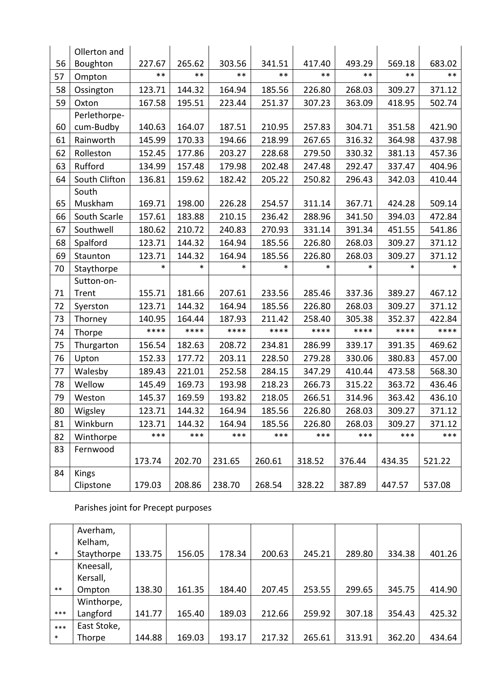|    | Ollerton and  |        |        |        |        |        |        |        |        |
|----|---------------|--------|--------|--------|--------|--------|--------|--------|--------|
| 56 | Boughton      | 227.67 | 265.62 | 303.56 | 341.51 | 417.40 | 493.29 | 569.18 | 683.02 |
| 57 | Ompton        | $***$  | $***$  | $***$  | $***$  | $***$  | $***$  | $***$  | $***$  |
| 58 | Ossington     | 123.71 | 144.32 | 164.94 | 185.56 | 226.80 | 268.03 | 309.27 | 371.12 |
| 59 | Oxton         | 167.58 | 195.51 | 223.44 | 251.37 | 307.23 | 363.09 | 418.95 | 502.74 |
|    | Perlethorpe-  |        |        |        |        |        |        |        |        |
| 60 | cum-Budby     | 140.63 | 164.07 | 187.51 | 210.95 | 257.83 | 304.71 | 351.58 | 421.90 |
| 61 | Rainworth     | 145.99 | 170.33 | 194.66 | 218.99 | 267.65 | 316.32 | 364.98 | 437.98 |
| 62 | Rolleston     | 152.45 | 177.86 | 203.27 | 228.68 | 279.50 | 330.32 | 381.13 | 457.36 |
| 63 | Rufford       | 134.99 | 157.48 | 179.98 | 202.48 | 247.48 | 292.47 | 337.47 | 404.96 |
| 64 | South Clifton | 136.81 | 159.62 | 182.42 | 205.22 | 250.82 | 296.43 | 342.03 | 410.44 |
|    | South         |        |        |        |        |        |        |        |        |
| 65 | Muskham       | 169.71 | 198.00 | 226.28 | 254.57 | 311.14 | 367.71 | 424.28 | 509.14 |
| 66 | South Scarle  | 157.61 | 183.88 | 210.15 | 236.42 | 288.96 | 341.50 | 394.03 | 472.84 |
| 67 | Southwell     | 180.62 | 210.72 | 240.83 | 270.93 | 331.14 | 391.34 | 451.55 | 541.86 |
| 68 | Spalford      | 123.71 | 144.32 | 164.94 | 185.56 | 226.80 | 268.03 | 309.27 | 371.12 |
| 69 | Staunton      | 123.71 | 144.32 | 164.94 | 185.56 | 226.80 | 268.03 | 309.27 | 371.12 |
| 70 | Staythorpe    | $\ast$ | *      | $\ast$ | *      | $\ast$ | $\ast$ | $\ast$ | $\ast$ |
|    | Sutton-on-    |        |        |        |        |        |        |        |        |
| 71 | Trent         | 155.71 | 181.66 | 207.61 | 233.56 | 285.46 | 337.36 | 389.27 | 467.12 |
| 72 | Syerston      | 123.71 | 144.32 | 164.94 | 185.56 | 226.80 | 268.03 | 309.27 | 371.12 |
| 73 | Thorney       | 140.95 | 164.44 | 187.93 | 211.42 | 258.40 | 305.38 | 352.37 | 422.84 |
| 74 | Thorpe        | ****   | ****   | ****   | ****   | ****   | ****   | ****   | ****   |
| 75 | Thurgarton    | 156.54 | 182.63 | 208.72 | 234.81 | 286.99 | 339.17 | 391.35 | 469.62 |
| 76 | Upton         | 152.33 | 177.72 | 203.11 | 228.50 | 279.28 | 330.06 | 380.83 | 457.00 |
| 77 | Walesby       | 189.43 | 221.01 | 252.58 | 284.15 | 347.29 | 410.44 | 473.58 | 568.30 |
| 78 | Wellow        | 145.49 | 169.73 | 193.98 | 218.23 | 266.73 | 315.22 | 363.72 | 436.46 |
| 79 | Weston        | 145.37 | 169.59 | 193.82 | 218.05 | 266.51 | 314.96 | 363.42 | 436.10 |
| 80 | Wigsley       | 123.71 | 144.32 | 164.94 | 185.56 | 226.80 | 268.03 | 309.27 | 371.12 |
| 81 | Winkburn      | 123.71 | 144.32 | 164.94 | 185.56 | 226.80 | 268.03 | 309.27 | 371.12 |
| 82 | Winthorpe     | ***    | ***    | ***    | ***    | ***    | ***    | ***    | ***    |
| 83 | Fernwood      |        |        |        |        |        |        |        |        |
|    |               | 173.74 | 202.70 | 231.65 | 260.61 | 318.52 | 376.44 | 434.35 | 521.22 |
| 84 | Kings         |        |        |        |        |        |        |        |        |
|    | Clipstone     | 179.03 | 208.86 | 238.70 | 268.54 | 328.22 | 387.89 | 447.57 | 537.08 |

# Parishes joint for Precept purposes

|        | Averham,    |        |        |        |        |        |        |        |        |
|--------|-------------|--------|--------|--------|--------|--------|--------|--------|--------|
|        | Kelham,     |        |        |        |        |        |        |        |        |
| $\ast$ | Staythorpe  | 133.75 | 156.05 | 178.34 | 200.63 | 245.21 | 289.80 | 334.38 | 401.26 |
|        | Kneesall,   |        |        |        |        |        |        |        |        |
|        | Kersall,    |        |        |        |        |        |        |        |        |
| $***$  | Ompton      | 138.30 | 161.35 | 184.40 | 207.45 | 253.55 | 299.65 | 345.75 | 414.90 |
|        | Winthorpe,  |        |        |        |        |        |        |        |        |
| ***    | Langford    | 141.77 | 165.40 | 189.03 | 212.66 | 259.92 | 307.18 | 354.43 | 425.32 |
| $***$  | East Stoke, |        |        |        |        |        |        |        |        |
| $\ast$ | Thorpe      | 144.88 | 169.03 | 193.17 | 217.32 | 265.61 | 313.91 | 362.20 | 434.64 |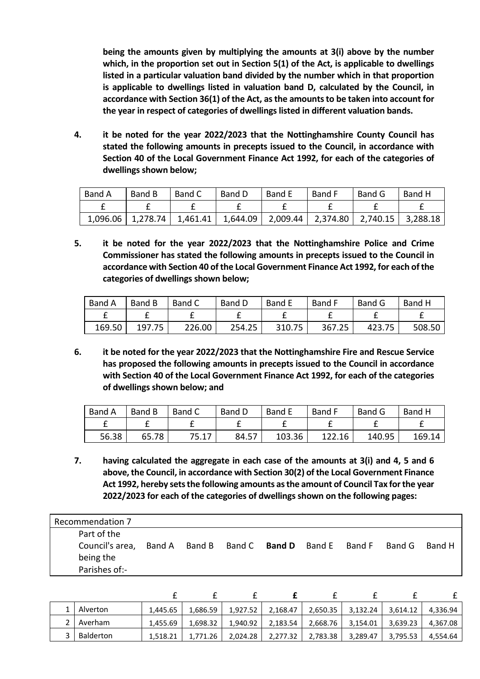**being the amounts given by multiplying the amounts at 3(i) above by the number which, in the proportion set out in Section 5(1) of the Act, is applicable to dwellings listed in a particular valuation band divided by the number which in that proportion is applicable to dwellings listed in valuation band D, calculated by the Council, in accordance with Section 36(1) of the Act, as the amounts to be taken into account for the year in respect of categories of dwellings listed in different valuation bands.**

**4. it be noted for the year 2022/2023 that the Nottinghamshire County Council has stated the following amounts in precepts issued to the Council, in accordance with Section 40 of the Local Government Finance Act 1992, for each of the categories of dwellings shown below;**

| Band A | Band B | Band C | Band D | <b>Band E</b>                                                                         | Band F | Band G | Band H |
|--------|--------|--------|--------|---------------------------------------------------------------------------------------|--------|--------|--------|
|        |        |        |        |                                                                                       |        |        |        |
|        |        |        |        | 1,096.06   1,278.74   1,461.41   1,644.09   2,009.44   2,374.80   2,740.15   3,288.18 |        |        |        |

**5. it be noted for the year 2022/2023 that the Nottinghamshire Police and Crime Commissioner has stated the following amounts in precepts issued to the Council in accordance with Section 40 of the Local Government Finance Act 1992, for each of the categories of dwellings shown below;**

| Band A | Band B | Band C | Band D | <b>Band E</b> | Band F | Band G | Band H |
|--------|--------|--------|--------|---------------|--------|--------|--------|
|        |        |        |        |               |        |        |        |
| 169.50 | 197.75 | 226.00 | 254.25 | 310.75        | 367.25 | 423.75 | 508.50 |

**6. it be noted for the year 2022/2023 that the Nottinghamshire Fire and Rescue Service has proposed the following amounts in precepts issued to the Council in accordance with Section 40 of the Local Government Finance Act 1992, for each of the categories of dwellings shown below; and**

| Band A | Band B | Band C | Band D | <b>Band E</b> | <b>Band F</b> | Band G | Band H |
|--------|--------|--------|--------|---------------|---------------|--------|--------|
|        |        |        |        |               |               |        |        |
| 56.38  | 65.78  | 75.17  | 84.57  | 103.36        | 122.16        | 140.95 | 169.14 |

**7. having calculated the aggregate in each case of the amounts at 3(i) and 4, 5 and 6 above, the Council, in accordance with Section 30(2) of the Local Government Finance Act 1992, hereby sets the following amounts as the amount of Council Tax for the year 2022/2023 for each of the categories of dwellings shown on the following pages:**

| <b>Recommendation 7</b>                                      |        |                             |        |        |        |        |
|--------------------------------------------------------------|--------|-----------------------------|--------|--------|--------|--------|
| Part of the<br>Council's area,<br>being the<br>Parishes of:- | Band A | Band B Band C <b>Band D</b> | Band E | Band F | Band G | Band H |

| Alverton  | 1,445.65 | 1,686.59 | 1,927.52 | 2,168.47 | 2,650.35          | 3,132.24 | 3,614.12 | 4,336.94 |
|-----------|----------|----------|----------|----------|-------------------|----------|----------|----------|
| Averham   | 1,455.69 | 1,698.32 | 1,940.92 | 2,183.54 | 2,668.76 3,154.01 |          | 3,639.23 | 4,367.08 |
| Balderton | 1,518.21 | 1,771.26 | 2,024.28 | 2,277.32 | 2,783.38          | 3,289.47 | 3,795.53 | 4,554.64 |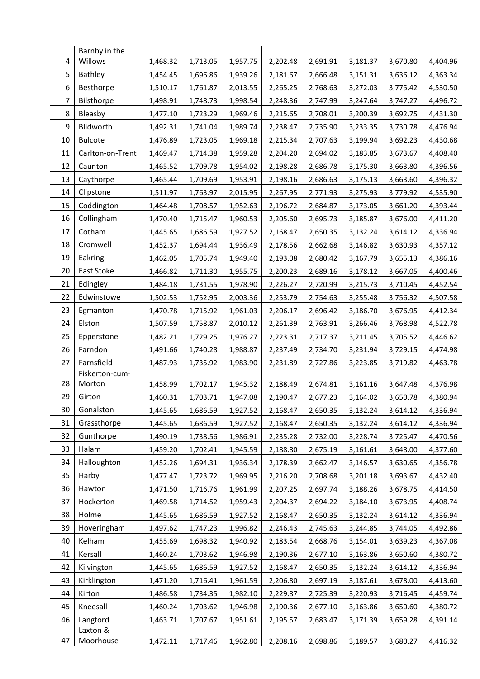|    | Barnby in the        |          |          |          |          |          |          |          |          |
|----|----------------------|----------|----------|----------|----------|----------|----------|----------|----------|
| 4  | Willows              | 1,468.32 | 1,713.05 | 1,957.75 | 2,202.48 | 2,691.91 | 3,181.37 | 3,670.80 | 4,404.96 |
| 5  | Bathley              | 1,454.45 | 1,696.86 | 1,939.26 | 2,181.67 | 2,666.48 | 3,151.31 | 3,636.12 | 4,363.34 |
| 6  | Besthorpe            | 1,510.17 | 1,761.87 | 2,013.55 | 2,265.25 | 2,768.63 | 3,272.03 | 3,775.42 | 4,530.50 |
| 7  | Bilsthorpe           | 1,498.91 | 1,748.73 | 1,998.54 | 2,248.36 | 2,747.99 | 3,247.64 | 3,747.27 | 4,496.72 |
| 8  | Bleasby              | 1,477.10 | 1,723.29 | 1,969.46 | 2,215.65 | 2,708.01 | 3,200.39 | 3,692.75 | 4,431.30 |
| 9  | Blidworth            | 1,492.31 | 1,741.04 | 1,989.74 | 2,238.47 | 2,735.90 | 3,233.35 | 3,730.78 | 4,476.94 |
| 10 | <b>Bulcote</b>       | 1,476.89 | 1,723.05 | 1,969.18 | 2,215.34 | 2,707.63 | 3,199.94 | 3,692.23 | 4,430.68 |
| 11 | Carlton-on-Trent     | 1,469.47 | 1,714.38 | 1,959.28 | 2,204.20 | 2,694.02 | 3,183.85 | 3,673.67 | 4,408.40 |
| 12 | Caunton              | 1,465.52 | 1,709.78 | 1,954.02 | 2,198.28 | 2,686.78 | 3,175.30 | 3,663.80 | 4,396.56 |
| 13 | Caythorpe            | 1,465.44 | 1,709.69 | 1,953.91 | 2,198.16 | 2,686.63 | 3,175.13 | 3,663.60 | 4,396.32 |
| 14 | Clipstone            | 1,511.97 | 1,763.97 | 2,015.95 | 2,267.95 | 2,771.93 | 3,275.93 | 3,779.92 | 4,535.90 |
| 15 | Coddington           | 1,464.48 | 1,708.57 | 1,952.63 | 2,196.72 | 2,684.87 | 3,173.05 | 3,661.20 | 4,393.44 |
| 16 | Collingham           | 1,470.40 | 1,715.47 | 1,960.53 | 2,205.60 | 2,695.73 | 3,185.87 | 3,676.00 | 4,411.20 |
| 17 | Cotham               | 1,445.65 | 1,686.59 | 1,927.52 | 2,168.47 | 2,650.35 | 3,132.24 | 3,614.12 | 4,336.94 |
| 18 | Cromwell             | 1,452.37 | 1,694.44 | 1,936.49 | 2,178.56 | 2,662.68 | 3,146.82 | 3,630.93 | 4,357.12 |
| 19 | Eakring              | 1,462.05 | 1,705.74 | 1,949.40 | 2,193.08 | 2,680.42 | 3,167.79 | 3,655.13 | 4,386.16 |
| 20 | East Stoke           | 1,466.82 | 1,711.30 | 1,955.75 | 2,200.23 | 2,689.16 | 3,178.12 | 3,667.05 | 4,400.46 |
| 21 | Edingley             | 1,484.18 | 1,731.55 | 1,978.90 | 2,226.27 | 2,720.99 | 3,215.73 | 3,710.45 | 4,452.54 |
| 22 | Edwinstowe           | 1,502.53 | 1,752.95 | 2,003.36 | 2,253.79 | 2,754.63 | 3,255.48 | 3,756.32 | 4,507.58 |
| 23 | Egmanton             | 1,470.78 | 1,715.92 | 1,961.03 | 2,206.17 | 2,696.42 | 3,186.70 | 3,676.95 | 4,412.34 |
| 24 | Elston               | 1,507.59 | 1,758.87 | 2,010.12 | 2,261.39 | 2,763.91 | 3,266.46 | 3,768.98 | 4,522.78 |
| 25 | Epperstone           | 1,482.21 | 1,729.25 | 1,976.27 | 2,223.31 | 2,717.37 | 3,211.45 | 3,705.52 | 4,446.62 |
| 26 | Farndon              | 1,491.66 | 1,740.28 | 1,988.87 | 2,237.49 | 2,734.70 | 3,231.94 | 3,729.15 | 4,474.98 |
| 27 | Farnsfield           | 1,487.93 | 1,735.92 | 1,983.90 | 2,231.89 | 2,727.86 | 3,223.85 | 3,719.82 | 4,463.78 |
|    | Fiskerton-cum-       |          |          |          |          |          |          |          |          |
| 28 | Morton               | 1,458.99 | 1,702.17 | 1,945.32 | 2,188.49 | 2,674.81 | 3,161.16 | 3,647.48 | 4,376.98 |
| 29 | Girton               | 1,460.31 | 1,703.71 | 1,947.08 | 2,190.47 | 2,677.23 | 3,164.02 | 3,650.78 | 4,380.94 |
| 30 | Gonalston            | 1,445.65 | 1,686.59 | 1,927.52 | 2,168.47 | 2,650.35 | 3,132.24 | 3,614.12 | 4,336.94 |
| 31 | Grassthorpe          | 1,445.65 | 1,686.59 | 1,927.52 | 2,168.47 | 2,650.35 | 3,132.24 | 3,614.12 | 4,336.94 |
| 32 | Gunthorpe            | 1,490.19 | 1,738.56 | 1,986.91 | 2,235.28 | 2,732.00 | 3,228.74 | 3,725.47 | 4,470.56 |
| 33 | Halam                | 1,459.20 | 1,702.41 | 1,945.59 | 2,188.80 | 2,675.19 | 3,161.61 | 3,648.00 | 4,377.60 |
| 34 | Halloughton          | 1,452.26 | 1,694.31 | 1,936.34 | 2,178.39 | 2,662.47 | 3,146.57 | 3,630.65 | 4,356.78 |
| 35 | Harby                | 1,477.47 | 1,723.72 | 1,969.95 | 2,216.20 | 2,708.68 | 3,201.18 | 3,693.67 | 4,432.40 |
| 36 | Hawton               | 1,471.50 | 1,716.76 | 1,961.99 | 2,207.25 | 2,697.74 | 3,188.26 | 3,678.75 | 4,414.50 |
| 37 | Hockerton            | 1,469.58 | 1,714.52 | 1,959.43 | 2,204.37 | 2,694.22 | 3,184.10 | 3,673.95 | 4,408.74 |
| 38 | Holme                | 1,445.65 | 1,686.59 | 1,927.52 | 2,168.47 | 2,650.35 | 3,132.24 | 3,614.12 | 4,336.94 |
| 39 | Hoveringham          | 1,497.62 | 1,747.23 | 1,996.82 | 2,246.43 | 2,745.63 | 3,244.85 | 3,744.05 | 4,492.86 |
| 40 | Kelham               | 1,455.69 | 1,698.32 | 1,940.92 | 2,183.54 | 2,668.76 | 3,154.01 | 3,639.23 | 4,367.08 |
| 41 | Kersall              | 1,460.24 | 1,703.62 | 1,946.98 | 2,190.36 | 2,677.10 | 3,163.86 | 3,650.60 | 4,380.72 |
| 42 | Kilvington           | 1,445.65 | 1,686.59 | 1,927.52 | 2,168.47 | 2,650.35 | 3,132.24 | 3,614.12 | 4,336.94 |
| 43 | Kirklington          | 1,471.20 | 1,716.41 | 1,961.59 | 2,206.80 | 2,697.19 | 3,187.61 | 3,678.00 | 4,413.60 |
| 44 | Kirton               | 1,486.58 | 1,734.35 | 1,982.10 | 2,229.87 | 2,725.39 | 3,220.93 | 3,716.45 | 4,459.74 |
| 45 | Kneesall             | 1,460.24 | 1,703.62 | 1,946.98 | 2,190.36 | 2,677.10 | 3,163.86 | 3,650.60 | 4,380.72 |
| 46 | Langford<br>Laxton & | 1,463.71 | 1,707.67 | 1,951.61 | 2,195.57 | 2,683.47 | 3,171.39 | 3,659.28 | 4,391.14 |
| 47 | Moorhouse            | 1,472.11 | 1,717.46 | 1,962.80 | 2,208.16 | 2,698.86 | 3,189.57 | 3,680.27 | 4,416.32 |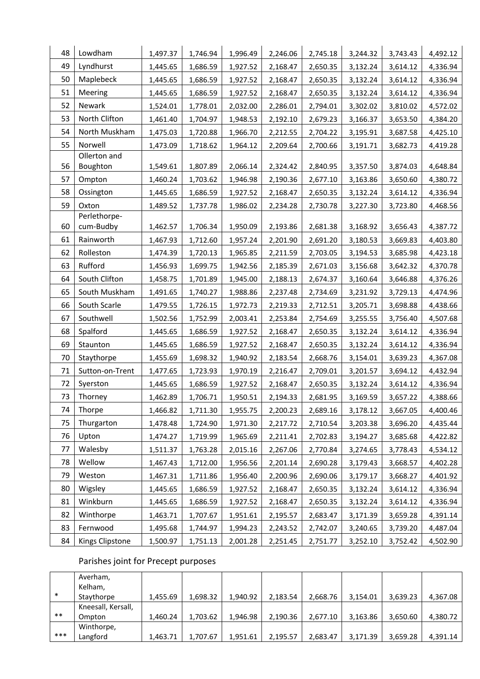| 48 | Lowdham                   | 1,497.37 | 1,746.94 | 1,996.49 | 2,246.06 | 2,745.18 | 3,244.32 | 3,743.43 | 4,492.12 |
|----|---------------------------|----------|----------|----------|----------|----------|----------|----------|----------|
| 49 | Lyndhurst                 | 1,445.65 | 1,686.59 | 1,927.52 | 2,168.47 | 2,650.35 | 3,132.24 | 3,614.12 | 4,336.94 |
| 50 | Maplebeck                 | 1,445.65 | 1,686.59 | 1,927.52 | 2,168.47 | 2,650.35 | 3,132.24 | 3,614.12 | 4,336.94 |
| 51 | Meering                   | 1,445.65 | 1,686.59 | 1,927.52 | 2,168.47 | 2,650.35 | 3,132.24 | 3,614.12 | 4,336.94 |
| 52 | Newark                    | 1,524.01 | 1,778.01 | 2,032.00 | 2,286.01 | 2,794.01 | 3,302.02 | 3,810.02 | 4,572.02 |
| 53 | North Clifton             | 1,461.40 | 1,704.97 | 1,948.53 | 2,192.10 | 2,679.23 | 3,166.37 | 3,653.50 | 4,384.20 |
| 54 | North Muskham             | 1,475.03 | 1,720.88 | 1,966.70 | 2,212.55 | 2,704.22 | 3,195.91 | 3,687.58 | 4,425.10 |
| 55 | Norwell                   | 1,473.09 | 1,718.62 | 1,964.12 | 2,209.64 | 2,700.66 | 3,191.71 | 3,682.73 | 4,419.28 |
|    | Ollerton and              |          |          |          |          |          |          |          |          |
| 56 | Boughton                  | 1,549.61 | 1,807.89 | 2,066.14 | 2,324.42 | 2,840.95 | 3,357.50 | 3,874.03 | 4,648.84 |
| 57 | Ompton                    | 1,460.24 | 1,703.62 | 1,946.98 | 2,190.36 | 2,677.10 | 3,163.86 | 3,650.60 | 4,380.72 |
| 58 | Ossington                 | 1,445.65 | 1,686.59 | 1,927.52 | 2,168.47 | 2,650.35 | 3,132.24 | 3,614.12 | 4,336.94 |
| 59 | Oxton                     | 1,489.52 | 1,737.78 | 1,986.02 | 2,234.28 | 2,730.78 | 3,227.30 | 3,723.80 | 4,468.56 |
| 60 | Perlethorpe-<br>cum-Budby | 1,462.57 | 1,706.34 | 1,950.09 | 2,193.86 | 2,681.38 | 3,168.92 | 3,656.43 | 4,387.72 |
| 61 | Rainworth                 | 1,467.93 | 1,712.60 | 1,957.24 | 2,201.90 | 2,691.20 | 3,180.53 | 3,669.83 | 4,403.80 |
| 62 | Rolleston                 | 1,474.39 | 1,720.13 | 1,965.85 | 2,211.59 | 2,703.05 | 3,194.53 | 3,685.98 | 4,423.18 |
| 63 | Rufford                   | 1,456.93 | 1,699.75 | 1,942.56 | 2,185.39 | 2,671.03 | 3,156.68 | 3,642.32 | 4,370.78 |
| 64 | South Clifton             | 1,458.75 | 1,701.89 | 1,945.00 | 2,188.13 | 2,674.37 | 3,160.64 | 3,646.88 | 4,376.26 |
| 65 | South Muskham             | 1,491.65 | 1,740.27 | 1,988.86 | 2,237.48 | 2,734.69 | 3,231.92 | 3,729.13 | 4,474.96 |
| 66 | South Scarle              | 1,479.55 | 1,726.15 | 1,972.73 | 2,219.33 | 2,712.51 | 3,205.71 | 3,698.88 | 4,438.66 |
| 67 | Southwell                 | 1,502.56 | 1,752.99 | 2,003.41 | 2,253.84 | 2,754.69 | 3,255.55 | 3,756.40 | 4,507.68 |
| 68 | Spalford                  | 1,445.65 | 1,686.59 | 1,927.52 | 2,168.47 | 2,650.35 | 3,132.24 | 3,614.12 | 4,336.94 |
| 69 | Staunton                  | 1,445.65 | 1,686.59 | 1,927.52 | 2,168.47 | 2,650.35 | 3,132.24 | 3,614.12 | 4,336.94 |
| 70 | Staythorpe                | 1,455.69 | 1,698.32 | 1,940.92 | 2,183.54 | 2,668.76 | 3,154.01 | 3,639.23 | 4,367.08 |
| 71 | Sutton-on-Trent           | 1,477.65 | 1,723.93 | 1,970.19 | 2,216.47 | 2,709.01 | 3,201.57 | 3,694.12 | 4,432.94 |
| 72 | Syerston                  | 1,445.65 | 1,686.59 | 1,927.52 | 2,168.47 | 2,650.35 | 3,132.24 | 3,614.12 | 4,336.94 |
| 73 | Thorney                   | 1,462.89 | 1,706.71 | 1,950.51 | 2,194.33 | 2,681.95 | 3,169.59 | 3,657.22 | 4,388.66 |
| 74 | Thorpe                    | 1,466.82 | 1,711.30 | 1,955.75 | 2,200.23 | 2,689.16 | 3,178.12 | 3,667.05 | 4,400.46 |
| 75 | Thurgarton                | 1,478.48 | 1,724.90 | 1,971.30 | 2,217.72 | 2,710.54 | 3,203.38 | 3,696.20 | 4,435.44 |
| 76 | Upton                     | 1,474.27 | 1,719.99 | 1,965.69 | 2,211.41 | 2,702.83 | 3,194.27 | 3,685.68 | 4,422.82 |
| 77 | Walesby                   | 1,511.37 | 1,763.28 | 2,015.16 | 2,267.06 | 2,770.84 | 3,274.65 | 3,778.43 | 4,534.12 |
| 78 | Wellow                    | 1,467.43 | 1,712.00 | 1,956.56 | 2,201.14 | 2,690.28 | 3,179.43 | 3,668.57 | 4,402.28 |
| 79 | Weston                    | 1,467.31 | 1,711.86 | 1,956.40 | 2,200.96 | 2,690.06 | 3,179.17 | 3,668.27 | 4,401.92 |
| 80 | Wigsley                   | 1,445.65 | 1,686.59 | 1,927.52 | 2,168.47 | 2,650.35 | 3,132.24 | 3,614.12 | 4,336.94 |
| 81 | Winkburn                  | 1,445.65 | 1,686.59 | 1,927.52 | 2,168.47 | 2,650.35 | 3,132.24 | 3,614.12 | 4,336.94 |
| 82 | Winthorpe                 | 1,463.71 | 1,707.67 | 1,951.61 | 2,195.57 | 2,683.47 | 3,171.39 | 3,659.28 | 4,391.14 |
| 83 | Fernwood                  | 1,495.68 | 1,744.97 | 1,994.23 | 2,243.52 | 2,742.07 | 3,240.65 | 3,739.20 | 4,487.04 |
| 84 | Kings Clipstone           | 1,500.97 | 1,751.13 | 2,001.28 | 2,251.45 | 2,751.77 | 3,252.10 | 3,752.42 | 4,502.90 |

# Parishes joint for Precept purposes

|        | Averham,           |          |          |          |          |          |          |          |          |
|--------|--------------------|----------|----------|----------|----------|----------|----------|----------|----------|
|        | Kelham,            |          |          |          |          |          |          |          |          |
| $\ast$ | Staythorpe         | 1,455.69 | 1,698.32 | 1,940.92 | 2,183.54 | 2,668.76 | 3,154.01 | 3,639.23 | 4,367.08 |
|        | Kneesall, Kersall, |          |          |          |          |          |          |          |          |
| $***$  | Ompton             | 1,460.24 | 1,703.62 | 1,946.98 | 2,190.36 | 2,677.10 | 3,163.86 | 3,650.60 | 4,380.72 |
|        | Winthorpe,         |          |          |          |          |          |          |          |          |
| ***    | Langford           | 1,463.71 | 1,707.67 | 1,951.61 | 2,195.57 | 2,683.47 | 3,171.39 | 3,659.28 | 4,391.14 |